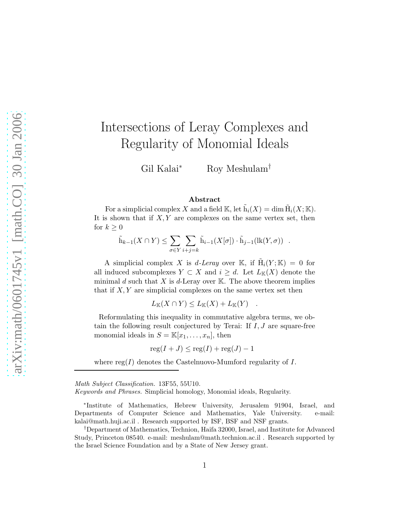# Intersections of Leray Complexes and Regularity of Monomial Ideals

Gil Kalai<sup>∗</sup> Roy Meshulam†

#### Abstract

For a simplicial complex X and a field  $\mathbb{K}$ , let  $\tilde{h}_i(X) = \dim \tilde{H}_i(X; \mathbb{K})$ . It is shown that if  $X, Y$  are complexes on the same vertex set, then for  $k \geq 0$ 

$$
\tilde{\mathbf{h}}_{k-1}(X \cap Y) \leq \sum_{\sigma \in Y} \sum_{i+j=k} \tilde{\mathbf{h}}_{i-1}(X[\sigma]) \cdot \tilde{\mathbf{h}}_{j-1}(\text{lk}(Y, \sigma)) .
$$

A simplicial complex X is d-Leray over K, if  $\tilde{H}_i(Y;\mathbb{K}) = 0$  for all induced subcomplexes  $Y \subset X$  and  $i \geq d$ . Let  $L_{K}(X)$  denote the minimal d such that X is d-Leray over  $\mathbb{K}$ . The above theorem implies that if  $X, Y$  are simplicial complexes on the same vertex set then

$$
L_{\mathbb K}(X\cap Y)\leq L_{\mathbb K}(X)+L_{\mathbb K}(Y)\quad.
$$

Reformulating this inequality in commutative algebra terms, we obtain the following result conjectured by Terai: If  $I, J$  are square-free monomial ideals in  $S = \mathbb{K}[x_1, \ldots, x_n]$ , then

$$
reg(I+J) \le reg(I) + reg(J) - 1
$$

where  $reg(I)$  denotes the Castelnuovo-Mumford regularity of I.

Math Subject Classification. 13F55, 55U10.

Keywords and Phrases. Simplicial homology, Monomial ideals, Regularity.

∗ Institute of Mathematics, Hebrew University, Jerusalem 91904, Israel, and Departments of Computer Science and Mathematics, Yale University. e-mail: kalai@math.huji.ac.il . Research supported by ISF, BSF and NSF grants.

†Department of Mathematics, Technion, Haifa 32000, Israel, and Institute for Advanced Study, Princeton 08540. e-mail: meshulam@math.technion.ac.il . Research supported by the Israel Science Foundation and by a State of New Jersey grant.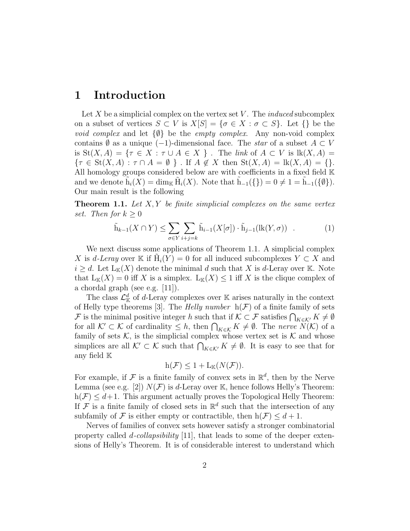# 1 Introduction

Let  $X$  be a simplicial complex on the vertex set  $V$ . The *induced* subcomplex on a subset of vertices  $S \subset V$  is  $X[S] = {\sigma \in X : \sigma \subset S}$ . Let  ${\sigma \in \mathcal{S}}$ *void complex* and let  $\{\emptyset\}$  be the *empty complex*. Any non-void complex contains  $\emptyset$  as a unique (-1)-dimensional face. The *star* of a subset  $A \subset V$ is  $St(X, A) = \{ \tau \in X : \tau \cup A \in X \}$ . The *link* of  $A \subset V$  is  $lk(X, A) =$  $\{\tau \in \text{St}(X, A) : \tau \cap A = \emptyset \}$ . If  $A \notin X$  then  $\text{St}(X, A) = \text{lk}(X, A) = \{\}.$ All homology groups considered below are with coefficients in a fixed field  $\mathbb K$ and we denote  $\tilde{h}_i(X) = \dim_{\mathbb{K}} \tilde{H}_i(X)$ . Note that  $\tilde{h}_{-1}(\{\}) = 0 \neq 1 = \tilde{h}_{-1}(\{\emptyset\}).$ Our main result is the following

Theorem 1.1. *Let* X, Y *be finite simplicial complexes on the same vertex set.* Then for  $k \geq 0$ 

$$
\tilde{\mathbf{h}}_{k-1}(X \cap Y) \le \sum_{\sigma \in Y} \sum_{i+j=k} \tilde{\mathbf{h}}_{i-1}(X[\sigma]) \cdot \tilde{\mathbf{h}}_{j-1}(\text{lk}(Y, \sigma)) \quad . \tag{1}
$$

We next discuss some applications of Theorem 1.1. A simplicial complex X is d-Leray over K if  $\tilde{H}_i(Y) = 0$  for all induced subcomplexes  $Y \subset X$  and  $i \geq d$ . Let  $L_{K}(X)$  denote the minimal d such that X is d-Leray over K. Note that  $L_K(X) = 0$  iff X is a simplex.  $L_K(X) \leq 1$  iff X is the clique complex of a chordal graph (see e.g. [11]).

The class  $\mathcal{L}_{\mathbb{K}}^d$  of d-Leray complexes over  $\mathbb{K}$  arises naturally in the context of Helly type theorems [3]. The *Helly number*  $h(\mathcal{F})$  of a finite family of sets F is the minimal positive integer h such that if  $\mathcal{K} \subset \mathcal{F}$  satisfies  $\bigcap_{K \in \mathcal{K}'} K \neq \emptyset$ for all  $\mathcal{K}' \subset \mathcal{K}$  of cardinality  $\leq h$ , then  $\bigcap_{K \in \mathcal{K}} K \neq \emptyset$ . The *nerve*  $\overline{N}(\mathcal{K})$  of a family of sets  $K$ , is the simplicial complex whose vertex set is  $K$  and whose simplices are all  $\mathcal{K}' \subset \mathcal{K}$  such that  $\bigcap_{K \in \mathcal{K}'} K \neq \emptyset$ . It is easy to see that for any field K

$$
h(\mathcal{F}) \leq 1 + L_{\mathbb{K}}(N(\mathcal{F})).
$$

For example, if  $\mathcal F$  is a finite family of convex sets in  $\mathbb R^d$ , then by the Nerve Lemma (see e.g. [2])  $N(F)$  is d-Leray over K, hence follows Helly's Theorem:  $h(\mathcal{F}) \leq d+1$ . This argument actually proves the Topological Helly Theorem: If F is a finite family of closed sets in  $\mathbb{R}^d$  such that the intersection of any subfamily of F is either empty or contractible, then  $h(\mathcal{F}) \leq d+1$ .

Nerves of families of convex sets however satisfy a stronger combinatorial property called d*-collapsibility* [11], that leads to some of the deeper extensions of Helly's Theorem. It is of considerable interest to understand which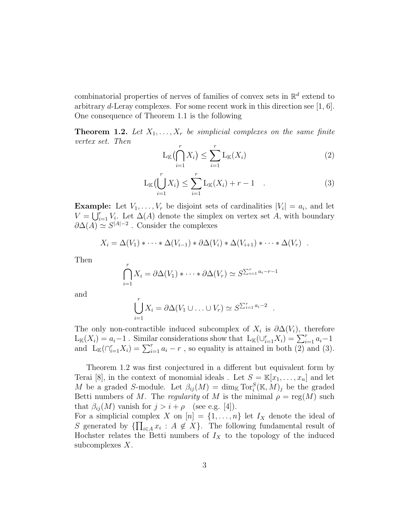combinatorial properties of nerves of families of convex sets in  $\mathbb{R}^d$  extend to arbitrary d-Leray complexes. For some recent work in this direction see [1, 6]. One consequence of Theorem 1.1 is the following

**Theorem 1.2.** Let  $X_1, \ldots, X_r$  be simplicial complexes on the same finite *vertex set. Then*

$$
L_{\mathbb{K}}\left(\bigcap_{i=1}^{r} X_{i}\right) \leq \sum_{i=1}^{r} L_{\mathbb{K}}(X_{i})
$$
\n
$$
(2)
$$

.

$$
L_{\mathbb{K}}\left(\bigcup_{i=1}^{r} X_{i}\right) \leq \sum_{i=1}^{r} L_{\mathbb{K}}(X_{i}) + r - 1 \quad . \tag{3}
$$

**Example:** Let  $V_1, \ldots, V_r$  be disjoint sets of cardinalities  $|V_i| = a_i$ , and let  $V = \bigcup_{i=1}^{r} V_i$ . Let  $\Delta(A)$  denote the simplex on vertex set A, with boundary  $\partial \Delta(A) \simeq S^{|A|-2}$ . Consider the complexes

$$
X_i = \Delta(V_1) * \cdots * \Delta(V_{i-1}) * \partial \Delta(V_i) * \Delta(V_{i+1}) * \cdots * \Delta(V_r) .
$$

Then

$$
\bigcap_{i=1}^r X_i = \partial \Delta(V_1) * \cdots * \partial \Delta(V_r) \simeq S^{\sum_{i=1}^r a_i - r - 1}
$$

and

$$
\bigcup_{i=1}^r X_i = \partial \Delta (V_1 \cup \ldots \cup V_r) \simeq S^{\sum_{i=1}^r a_i - 2}
$$

The only non-contractible induced subcomplex of  $X_i$  is  $\partial \Delta(V_i)$ , therefore  $L_{\mathbb{K}}(X_i) = a_i - 1$ . Similar considerations show that  $L_{\mathbb{K}}(\cup_{i=1}^r X_i) = \sum_{i=1}^r a_i - 1$ and  $L_{\mathbb{K}}(\bigcap_{i=1}^{r} X_i) = \sum_{i=1}^{r} a_i - r$ , so equality is attained in both  $(2)$  and  $(3)$ .

Theorem 1.2 was first conjectured in a different but equivalent form by Terai [8], in the context of monomial ideals . Let  $S = \mathbb{K}[x_1, \ldots, x_n]$  and let M be a graded S-module. Let  $\beta_{ij}(M) = \dim_{\mathbb{K}} \operatorname{Tor}_i^S(\mathbb{K}, M)_j$  be the graded Betti numbers of M. The *regularity* of M is the minimal  $\rho = \text{reg}(M)$  such that  $\beta_{ij}(M)$  vanish for  $j > i + \rho$  (see e.g. [4]).

For a simplicial complex X on  $[n] = \{1, \ldots, n\}$  let  $I_X$  denote the ideal of S generated by  $\{\prod_{i\in A} x_i : A \notin X\}$ . The following fundamental result of Hochster relates the Betti numbers of  $I_X$  to the topology of the induced subcomplexes X.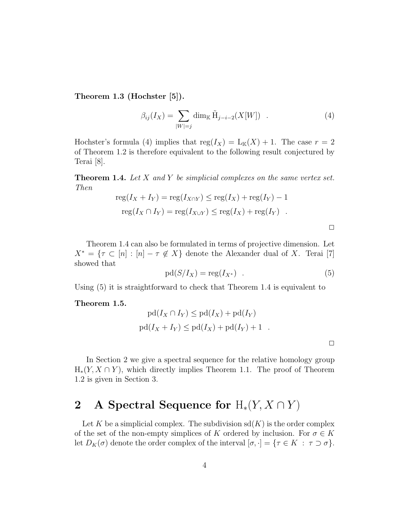Theorem 1.3 (Hochster [5]).

$$
\beta_{ij}(I_X) = \sum_{|W|=j} \dim_{\mathbb{K}} \tilde{H}_{j-i-2}(X[W]) . \tag{4}
$$

Hochster's formula (4) implies that  $reg(I_X) = L_K(X) + 1$ . The case  $r = 2$ of Theorem 1.2 is therefore equivalent to the following result conjectured by Terai [8].

Theorem 1.4. *Let* X *and* Y *be simplicial complexes on the same vertex set. Then*

$$
reg(I_X + I_Y) = reg(I_{X \cap Y}) \le reg(I_X) + reg(I_Y) - 1
$$
  

$$
reg(I_X \cap I_Y) = reg(I_{X \cup Y}) \le reg(I_X) + reg(I_Y) .
$$

Theorem 1.4 can also be formulated in terms of projective dimension. Let  $X^* = \{ \tau \subset [n] : [n] - \tau \notin X \}$  denote the Alexander dual of X. Terai [7] showed that

$$
pd(S/I_X) = \text{reg}(I_{X^*}) \quad . \tag{5}
$$

Using (5) it is straightforward to check that Theorem 1.4 is equivalent to

#### Theorem 1.5.

$$
pd(I_X \cap I_Y) \leq pd(I_X) + pd(I_Y)
$$
  
 
$$
pd(I_X + I_Y) \leq pd(I_X) + pd(I_Y) + 1 .
$$

In Section 2 we give a spectral sequence for the relative homology group  $H_*(Y, X \cap Y)$ , which directly implies Theorem 1.1. The proof of Theorem 1.2 is given in Section 3.

# 2 A Spectral Sequence for  $H_*(Y, X \cap Y)$

Let K be a simplicial complex. The subdivision  $sd(K)$  is the order complex of the set of the non-empty simplices of K ordered by inclusion. For  $\sigma \in K$ let  $D_K(\sigma)$  denote the order complex of the interval  $[\sigma, \cdot] = {\tau \in K : \tau \supset \sigma}.$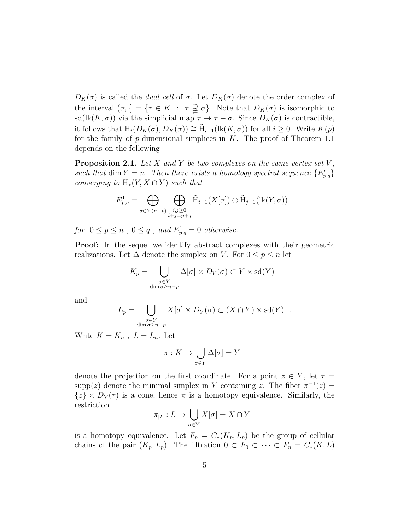$D_K(\sigma)$  is called the *dual cell* of  $\sigma$ . Let  $D_K(\sigma)$  denote the order complex of . the interval  $(\sigma, \cdot) = {\tau \in K : \tau \supsetneq \sigma}$ . Note that  $D_K(\sigma)$  is isomorphic to sd(lk( $K,\sigma$ )) via the simplicial map  $\tau \to \tau - \sigma$ . Since  $D_K(\sigma)$  is contractible, it follows that  $H_i(D_K(\sigma), \dot{D}_K(\sigma)) \cong \tilde{H}_{i-1}(\text{lk}(K, \sigma))$  for all  $i \geq 0$ . Write  $K(p)$ for the family of  $p$ -dimensional simplices in  $K$ . The proof of Theorem 1.1 depends on the following

Proposition 2.1. *Let* X *and* Y *be two complexes on the same vertex set* V *,* such that dim  $Y = n$ . Then there exists a homology spectral sequence  ${E_{p,q}^r}$ *converging to*  $H_*(Y, X \cap Y)$  *such that* 

$$
E_{p,q}^1 = \bigoplus_{\sigma \in Y(n-p)} \bigoplus_{\substack{i,j \ge 0 \\ i+j = p+q}} \tilde{H}_{i-1}(X[\sigma]) \otimes \tilde{H}_{j-1}(\text{lk}(Y,\sigma))
$$

*for*  $0 \le p \le n$ ,  $0 \le q$ , and  $E^1_{p,q} = 0$  *otherwise.* 

Proof: In the sequel we identify abstract complexes with their geometric realizations. Let  $\Delta$  denote the simplex on V. For  $0 \le p \le n$  let

$$
K_p = \bigcup_{\substack{\sigma \in Y \\ \dim \sigma \ge n-p}} \Delta[\sigma] \times D_Y(\sigma) \subset Y \times \text{sd}(Y)
$$

and

$$
L_p = \bigcup_{\substack{\sigma \in Y \\ \dim \sigma \ge n-p}} X[\sigma] \times D_Y(\sigma) \subset (X \cap Y) \times \text{sd}(Y) .
$$

Write  $K = K_n$ ,  $L = L_n$ . Let

$$
\pi: K \to \bigcup_{\sigma \in Y} \Delta[\sigma] = Y
$$

denote the projection on the first coordinate. For a point  $z \in Y$ , let  $\tau =$ supp(z) denote the minimal simplex in Y containing z. The fiber  $\pi^{-1}(z) =$  $\{z\} \times D_Y(\tau)$  is a cone, hence  $\pi$  is a homotopy equivalence. Similarly, the restriction

$$
\pi_{|L}: L \to \bigcup_{\sigma \in Y} X[\sigma] = X \cap Y
$$

is a homotopy equivalence. Let  $F_p = C_*(K_p, L_p)$  be the group of cellular chains of the pair  $(K_p, L_p)$ . The filtration  $0 \subset F_0 \subset \cdots \subset F_n = C_*(K, L)$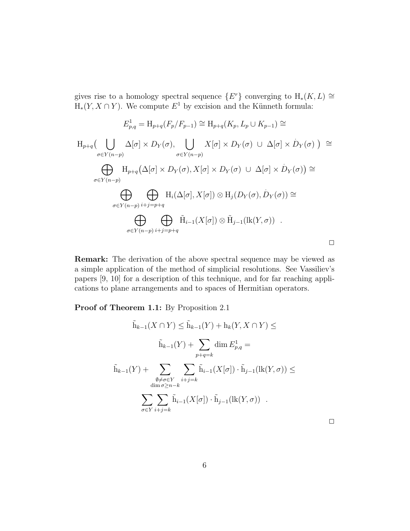gives rise to a homology spectral sequence  $\{E^r\}$  converging to  $H_*(K, L) \cong$  $H_*(Y, X \cap Y)$ . We compute  $E^1$  by excision and the Künneth formula:

$$
E_{p,q}^{1} = H_{p+q}(F_{p}/F_{p-1}) \cong H_{p+q}(K_{p}, L_{p} \cup K_{p-1}) \cong
$$
  
\n
$$
H_{p+q}(\bigcup_{\sigma \in Y(n-p)} \Delta[\sigma] \times D_{Y}(\sigma), \bigcup_{\sigma \in Y(n-p)} X[\sigma] \times D_{Y}(\sigma) \cup \Delta[\sigma] \times D_{Y}(\sigma)) \cong
$$
  
\n
$$
\bigoplus_{\sigma \in Y(n-p)} H_{p+q}(\Delta[\sigma] \times D_{Y}(\sigma), X[\sigma] \times D_{Y}(\sigma) \cup \Delta[\sigma] \times D_{Y}(\sigma)) \cong
$$
  
\n
$$
\bigoplus_{\sigma \in Y(n-p)} \bigoplus_{i+j=p+q} H_{i}(\Delta[\sigma], X[\sigma]) \otimes H_{j}(D_{Y}(\sigma), D_{Y}(\sigma)) \cong
$$
  
\n
$$
\bigoplus_{\sigma \in Y(n-p)} \bigoplus_{i+j=p+q} \tilde{H}_{i-1}(X[\sigma]) \otimes \tilde{H}_{j-1}(\text{lk}(Y, \sigma)) .
$$

Remark: The derivation of the above spectral sequence may be viewed as a simple application of the method of simplicial resolutions. See Vassiliev's papers [9, 10] for a description of this technique, and for far reaching applications to plane arrangements and to spaces of Hermitian operators.

Proof of Theorem 1.1: By Proposition 2.1

$$
\tilde{h}_{k-1}(X \cap Y) \leq \tilde{h}_{k-1}(Y) + h_k(Y, X \cap Y) \leq
$$
\n
$$
\tilde{h}_{k-1}(Y) + \sum_{p+q=k} \dim E_{p,q}^1 =
$$
\n
$$
\tilde{h}_{k-1}(Y) + \sum_{\substack{\emptyset \neq \sigma \in Y \\ \dim \sigma \geq n-k}} \sum_{i+j=k} \tilde{h}_{i-1}(X[\sigma]) \cdot \tilde{h}_{j-1}(\text{lk}(Y, \sigma)) \leq
$$
\n
$$
\sum_{\sigma \in Y} \sum_{i+j=k} \tilde{h}_{i-1}(X[\sigma]) \cdot \tilde{h}_{j-1}(\text{lk}(Y, \sigma)) .
$$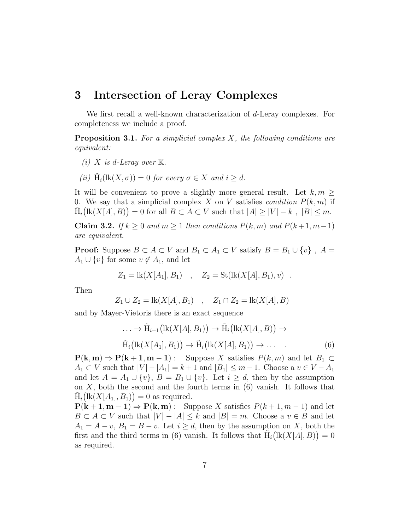### 3 Intersection of Leray Complexes

We first recall a well-known characterization of d-Leray complexes. For completeness we include a proof.

Proposition 3.1. *For a simplicial complex* X*, the following conditions are equivalent:*

- *(i)*  $X$  *is d-Leray over*  $K$ *.*
- *(ii)*  $\tilde{H}_i(lk(X, \sigma)) = 0$  *for every*  $\sigma \in X$  *and*  $i \geq d$ *.*

It will be convenient to prove a slightly more general result. Let  $k, m$ 0. We say that a simplicial complex X on V satisfies *condition*  $P(k, m)$  if  $\tilde{H}_i\big(\text{lk}(X[A], B)\big) = 0$  for all  $B \subset A \subset V$  such that  $|A| \geq |V| - k$ ,  $|B| \leq m$ .

Claim 3.2. *If*  $k \geq 0$  *and*  $m \geq 1$  *then conditions*  $P(k, m)$  *and*  $P(k+1, m-1)$ *are equivalent.*

**Proof:** Suppose  $B \subset A \subset V$  and  $B_1 \subset A_1 \subset V$  satisfy  $B = B_1 \cup \{v\}$ ,  $A =$  $A_1 \cup \{v\}$  for some  $v \notin A_1$ , and let

$$
Z_1 = \text{lk}(X[A_1], B_1) \quad , \quad Z_2 = \text{St}(\text{lk}(X[A], B_1), v) \quad .
$$

Then

$$
Z_1 \cup Z_2 = \text{lk}(X[A], B_1) \quad , \quad Z_1 \cap Z_2 = \text{lk}(X[A], B)
$$

and by Mayer-Vietoris there is an exact sequence

$$
\dots \to \tilde{H}_{i+1}(\text{lk}(X[A], B_1)) \to \tilde{H}_i(\text{lk}(X[A], B)) \to
$$
  

$$
\tilde{H}_i(\text{lk}(X[A_1], B_1)) \to \tilde{H}_i(\text{lk}(X[A], B_1)) \to \dots
$$
 (6)

 $P(k, m) \Rightarrow P(k + 1, m - 1)$ : Suppose X satisfies  $P(k, m)$  and let  $B_1 \subset$  $A_1 \subset V$  such that  $|V| - |A_1| = k+1$  and  $|B_1| \leq m-1$ . Choose a  $v \in V - A_1$ and let  $A = A_1 \cup \{v\}$ ,  $B = B_1 \cup \{v\}$ . Let  $i \geq d$ , then by the assumption on  $X$ , both the second and the fourth terms in  $(6)$  vanish. It follows that  $\tilde{H}_i\big(k(X[A_1], B_1)\big) = 0$  as required.

 $P(k+1, m-1) \Rightarrow P(k, m)$ : Suppose X satisfies  $P(k+1, m-1)$  and let  $B \subset A \subset V$  such that  $|V| - |A| \leq k$  and  $|B| = m$ . Choose a  $v \in B$  and let  $A_1 = A - v$ ,  $B_1 = B - v$ . Let  $i \ge d$ , then by the assumption on X, both the first and the third terms in (6) vanish. It follows that  $H_i(lk(X[A], B)) = 0$ as required.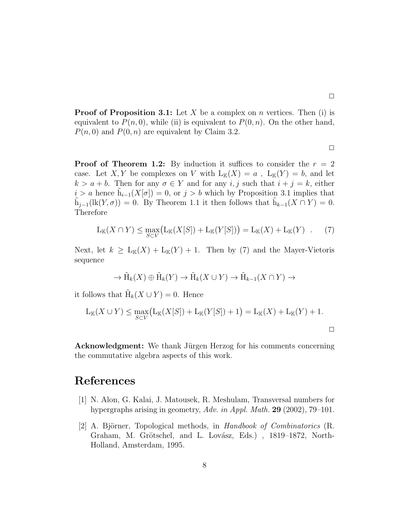**Proof of Proposition 3.1:** Let X be a complex on n vertices. Then (i) is equivalent to  $P(n, 0)$ , while (ii) is equivalent to  $P(0, n)$ . On the other hand,  $P(n, 0)$  and  $P(0, n)$  are equivalent by Claim 3.2.

 $\Box$ 

 $\Box$ 

**Proof of Theorem 1.2:** By induction it suffices to consider the  $r = 2$ case. Let X, Y be complexes on V with  $L_K(X) = a$ ,  $L_K(Y) = b$ , and let  $k > a + b$ . Then for any  $\sigma \in Y$  and for any i, j such that  $i + j = k$ , either  $i > a$  hence  $\tilde{h}_{i-1}(X[\sigma]) = 0$ , or  $j > b$  which by Proposition 3.1 implies that  $\tilde{h}_{j-1}(\text{lk}(Y,\sigma)) = 0.$  By Theorem 1.1 it then follows that  $\tilde{h}_{k-1}(X \cap Y) = 0.$ Therefore

$$
L_{\mathbb{K}}(X \cap Y) \le \max_{S \subset V} (L_{\mathbb{K}}(X[S]) + L_{\mathbb{K}}(Y[S])) = L_{\mathbb{K}}(X) + L_{\mathbb{K}}(Y) . \tag{7}
$$

Next, let  $k \geq L_{K}(X) + L_{K}(Y) + 1$ . Then by (7) and the Mayer-Vietoris sequence

$$
\to \tilde{H}_k(X) \oplus \tilde{H}_k(Y) \to \tilde{H}_k(X \cup Y) \to \tilde{H}_{k-1}(X \cap Y) \to
$$

it follows that  $\tilde{H}_k(X \cup Y) = 0$ . Hence

$$
L_{K}(X \cup Y) \le \max_{S \subset V} (L_{K}(X[S]) + L_{K}(Y[S]) + 1) = L_{K}(X) + L_{K}(Y) + 1.
$$

**Acknowledgment:** We thank Jürgen Herzog for his comments concerning the commutative algebra aspects of this work.

# References

- [1] N. Alon, G. Kalai, J. Matousek, R. Meshulam, Transversal numbers for hypergraphs arising in geometry, *Adv. in Appl. Math.* 29 (2002), 79–101.
- [2] A. Björner, Topological methods, in *Handbook of Combinatorics* (R. Graham, M. Grötschel, and L. Lovász, Eds.), 1819–1872, North-Holland, Amsterdam, 1995.